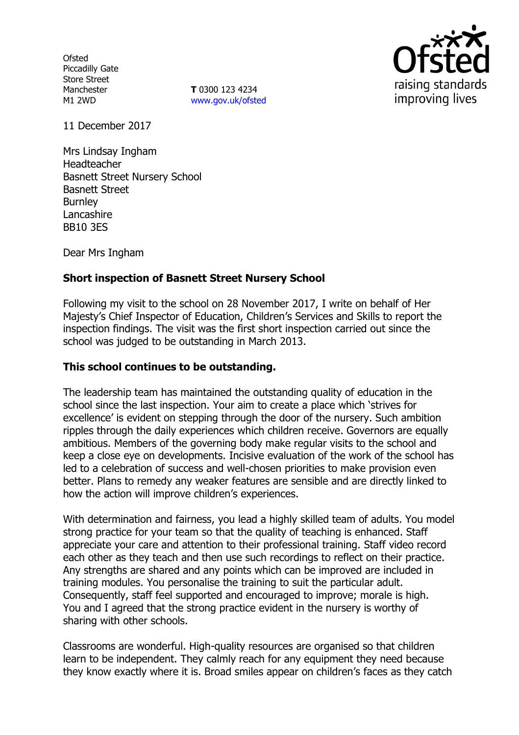**Ofsted** Piccadilly Gate Store Street Manchester M1 2WD

**T** 0300 123 4234 www.gov.uk/ofsted



11 December 2017

Mrs Lindsay Ingham Headteacher Basnett Street Nursery School Basnett Street **Burnley** Lancashire BB10 3ES

Dear Mrs Ingham

## **Short inspection of Basnett Street Nursery School**

Following my visit to the school on 28 November 2017, I write on behalf of Her Majesty's Chief Inspector of Education, Children's Services and Skills to report the inspection findings. The visit was the first short inspection carried out since the school was judged to be outstanding in March 2013.

#### **This school continues to be outstanding.**

The leadership team has maintained the outstanding quality of education in the school since the last inspection. Your aim to create a place which 'strives for excellence' is evident on stepping through the door of the nursery. Such ambition ripples through the daily experiences which children receive. Governors are equally ambitious. Members of the governing body make regular visits to the school and keep a close eye on developments. Incisive evaluation of the work of the school has led to a celebration of success and well-chosen priorities to make provision even better. Plans to remedy any weaker features are sensible and are directly linked to how the action will improve children's experiences.

With determination and fairness, you lead a highly skilled team of adults. You model strong practice for your team so that the quality of teaching is enhanced. Staff appreciate your care and attention to their professional training. Staff video record each other as they teach and then use such recordings to reflect on their practice. Any strengths are shared and any points which can be improved are included in training modules. You personalise the training to suit the particular adult. Consequently, staff feel supported and encouraged to improve; morale is high. You and I agreed that the strong practice evident in the nursery is worthy of sharing with other schools.

Classrooms are wonderful. High-quality resources are organised so that children learn to be independent. They calmly reach for any equipment they need because they know exactly where it is. Broad smiles appear on children's faces as they catch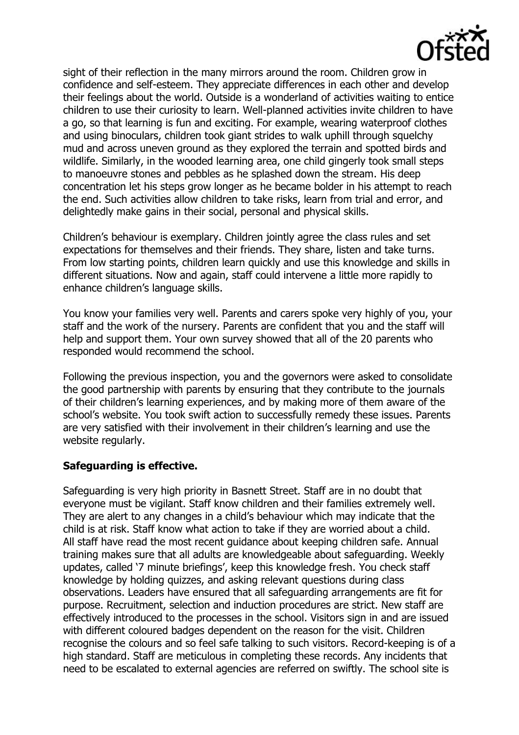

sight of their reflection in the many mirrors around the room. Children grow in confidence and self-esteem. They appreciate differences in each other and develop their feelings about the world. Outside is a wonderland of activities waiting to entice children to use their curiosity to learn. Well-planned activities invite children to have a go, so that learning is fun and exciting. For example, wearing waterproof clothes and using binoculars, children took giant strides to walk uphill through squelchy mud and across uneven ground as they explored the terrain and spotted birds and wildlife. Similarly, in the wooded learning area, one child gingerly took small steps to manoeuvre stones and pebbles as he splashed down the stream. His deep concentration let his steps grow longer as he became bolder in his attempt to reach the end. Such activities allow children to take risks, learn from trial and error, and delightedly make gains in their social, personal and physical skills.

Children's behaviour is exemplary. Children jointly agree the class rules and set expectations for themselves and their friends. They share, listen and take turns. From low starting points, children learn quickly and use this knowledge and skills in different situations. Now and again, staff could intervene a little more rapidly to enhance children's language skills.

You know your families very well. Parents and carers spoke very highly of you, your staff and the work of the nursery. Parents are confident that you and the staff will help and support them. Your own survey showed that all of the 20 parents who responded would recommend the school.

Following the previous inspection, you and the governors were asked to consolidate the good partnership with parents by ensuring that they contribute to the journals of their children's learning experiences, and by making more of them aware of the school's website. You took swift action to successfully remedy these issues. Parents are very satisfied with their involvement in their children's learning and use the website regularly.

# **Safeguarding is effective.**

Safeguarding is very high priority in Basnett Street. Staff are in no doubt that everyone must be vigilant. Staff know children and their families extremely well. They are alert to any changes in a child's behaviour which may indicate that the child is at risk. Staff know what action to take if they are worried about a child. All staff have read the most recent guidance about keeping children safe. Annual training makes sure that all adults are knowledgeable about safeguarding. Weekly updates, called '7 minute briefings', keep this knowledge fresh. You check staff knowledge by holding quizzes, and asking relevant questions during class observations. Leaders have ensured that all safeguarding arrangements are fit for purpose. Recruitment, selection and induction procedures are strict. New staff are effectively introduced to the processes in the school. Visitors sign in and are issued with different coloured badges dependent on the reason for the visit. Children recognise the colours and so feel safe talking to such visitors. Record-keeping is of a high standard. Staff are meticulous in completing these records. Any incidents that need to be escalated to external agencies are referred on swiftly. The school site is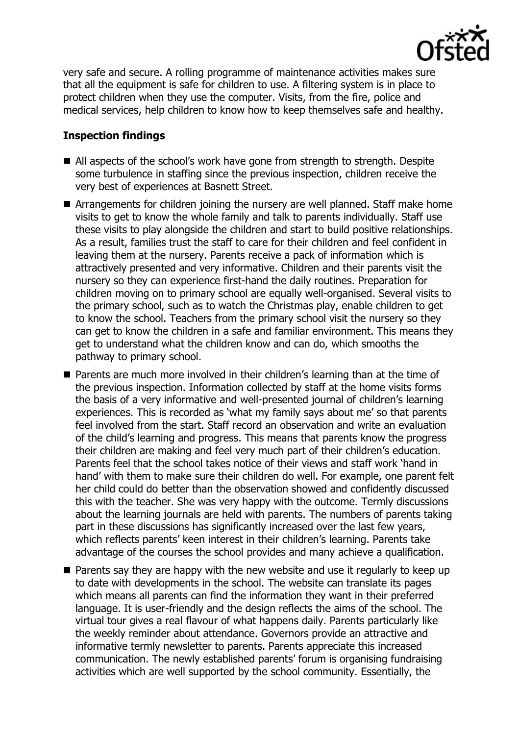

very safe and secure. A rolling programme of maintenance activities makes sure that all the equipment is safe for children to use. A filtering system is in place to protect children when they use the computer. Visits, from the fire, police and medical services, help children to know how to keep themselves safe and healthy.

# **Inspection findings**

- All aspects of the school's work have gone from strength to strength. Despite some turbulence in staffing since the previous inspection, children receive the very best of experiences at Basnett Street.
- Arrangements for children joining the nursery are well planned. Staff make home visits to get to know the whole family and talk to parents individually. Staff use these visits to play alongside the children and start to build positive relationships. As a result, families trust the staff to care for their children and feel confident in leaving them at the nursery. Parents receive a pack of information which is attractively presented and very informative. Children and their parents visit the nursery so they can experience first-hand the daily routines. Preparation for children moving on to primary school are equally well-organised. Several visits to the primary school, such as to watch the Christmas play, enable children to get to know the school. Teachers from the primary school visit the nursery so they can get to know the children in a safe and familiar environment. This means they get to understand what the children know and can do, which smooths the pathway to primary school.
- Parents are much more involved in their children's learning than at the time of the previous inspection. Information collected by staff at the home visits forms the basis of a very informative and well-presented journal of children's learning experiences. This is recorded as 'what my family says about me' so that parents feel involved from the start. Staff record an observation and write an evaluation of the child's learning and progress. This means that parents know the progress their children are making and feel very much part of their children's education. Parents feel that the school takes notice of their views and staff work 'hand in hand' with them to make sure their children do well. For example, one parent felt her child could do better than the observation showed and confidently discussed this with the teacher. She was very happy with the outcome. Termly discussions about the learning journals are held with parents. The numbers of parents taking part in these discussions has significantly increased over the last few years, which reflects parents' keen interest in their children's learning. Parents take advantage of the courses the school provides and many achieve a qualification.
- **Parents say they are happy with the new website and use it regularly to keep up** to date with developments in the school. The website can translate its pages which means all parents can find the information they want in their preferred language. It is user-friendly and the design reflects the aims of the school. The virtual tour gives a real flavour of what happens daily. Parents particularly like the weekly reminder about attendance. Governors provide an attractive and informative termly newsletter to parents. Parents appreciate this increased communication. The newly established parents' forum is organising fundraising activities which are well supported by the school community. Essentially, the